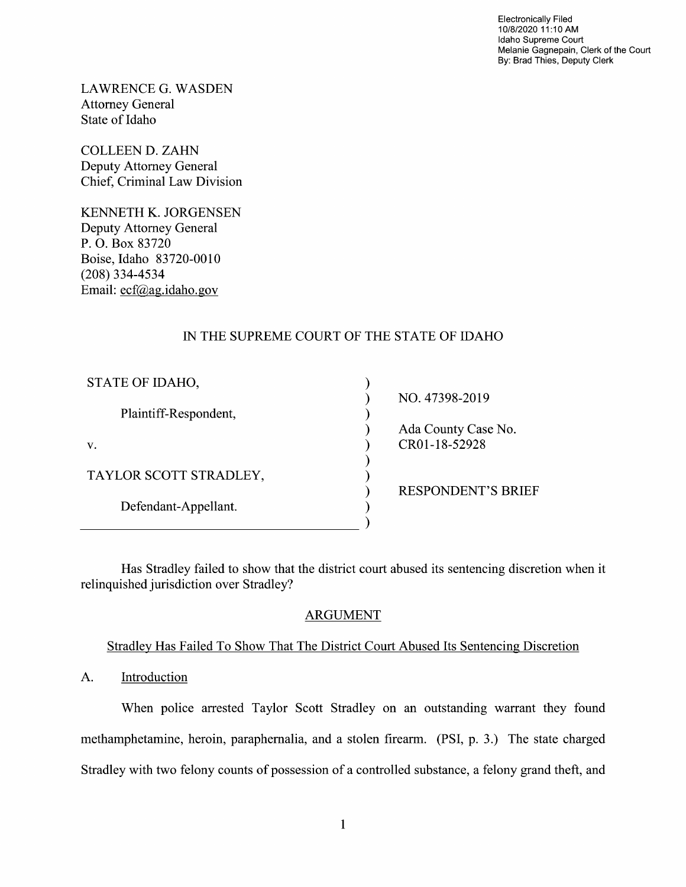Electronically Filed 10/8/2020 11:10 AM Idaho Supreme Court Melanie Gagnepain, Clerk of the Court By: Brad Thies, Deputy Clerk

LAWRENCE G.WASDEN Attorney General State 0f Idaho

COLLEEN D. ZAHN Deputy Attorney General Chief, Criminal Law Division

KENNETH K. JORGENSEN Deputy Attorney General P. O. Box 83720 Boise, Idaho 83720-00 (208) 334-4534 Email: ecf@ag.idaho.gov

# IN THE SUPREME COURT OF THE STATE OF IDAHO

| STATE OF IDAHO,        |                           |
|------------------------|---------------------------|
|                        | NO. 47398-2019            |
| Plaintiff-Respondent,  |                           |
|                        | Ada County Case No.       |
| V.                     | CR01-18-52928             |
|                        |                           |
| TAYLOR SCOTT STRADLEY, |                           |
|                        | <b>RESPONDENT'S BRIEF</b> |
| Defendant-Appellant.   |                           |
|                        |                           |

Has Stradley failed to show that the district court abused its sentencing discretion when it relinquished jurisdiction over Stradley?

# ARGUMENT

## Stradlev Has Failed To Show That The District Court Abused Its Sentencing Discretion

A. Introduction

When police arrested Taylor Scott Stradley 0n an outstanding warrant they found methamphetamine, heroin, paraphernalia, and stolen firearm. (PSI, p. 3.) The state charged Stradley with two felony counts of possession of a controlled substance, a felony grand theft, and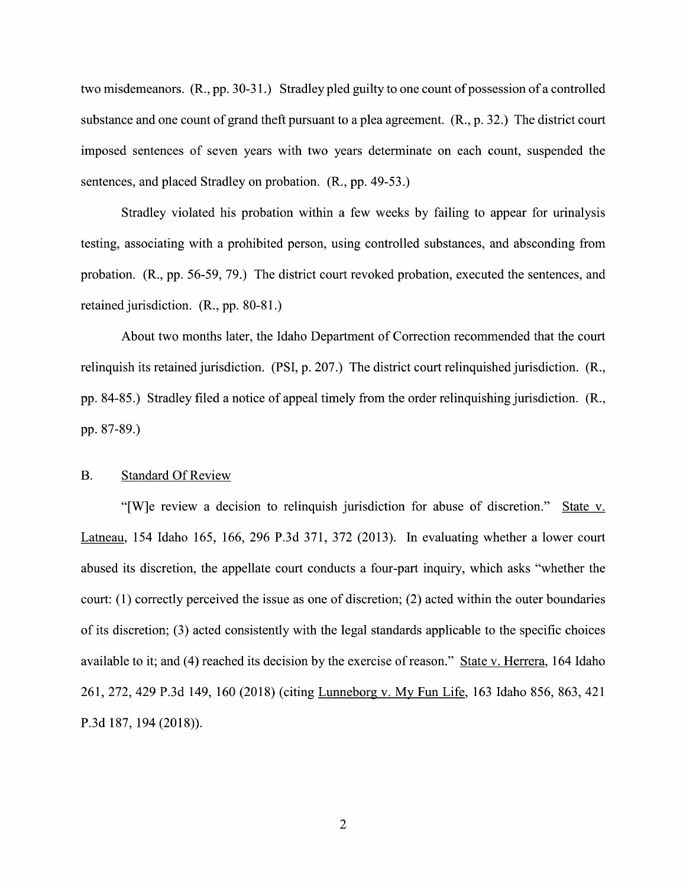two misdemeanors.  $(R., pp. 30-31.)$  Stradley pled guilty to one count of possession of a controlled substance and one count of grand theft pursuant to a plea agreement.  $(R., p. 32.)$  The district court imposed sentences of seven years With two years determinate 0n each count, suspended the sentences, and placed Stradley on probation. (R., pp. 49-53.)

Stradley violated his probation within a few weeks by failing to appear for urinalysis testing, associating with a prohibited person, using controlled substances, and absconding from probation. (R., pp. 56-59, 79.) The district court revoked probation, executed the sentences, and retained jurisdiction. (R., pp. 80-81.)

About two months later, the Idaho Department 0f Correction recommended that the court relinquish its retained jurisdiction. (PSI, p. 207.) The district court relinquished jurisdiction. (R., pp. 84-85.) Stradley filed a notice of appeal timely from the order relinquishing jurisdiction. (R., pp. 87-89.)

#### B. Standard Of Review

"[W]e review a decision to relinquish jurisdiction for abuse of discretion." State v. Latneau, 154 Idaho 165, 166, 296 P.3d 371, 372 (2013). In evaluating whether a lower court abused its discretion, the appellate court conducts a four-part inquiry, which asks "whether the court: (1) correctly perceived the issue as one of discretion; (2) acted within the outer boundaries 0f its discretion; (3) acted consistently With the legal standards applicable to the specific choices available to it; and (4) reached its decision by the exercise of reason." State v. Herrera, 164 Idaho 261, 272, <sup>429</sup> P.3d 149, <sup>160</sup> (2018) (citing Lunneborg V. MV Fun Life, <sup>163</sup> Idaho 856, 863, <sup>421</sup> P.3d 187, 194 (2018)).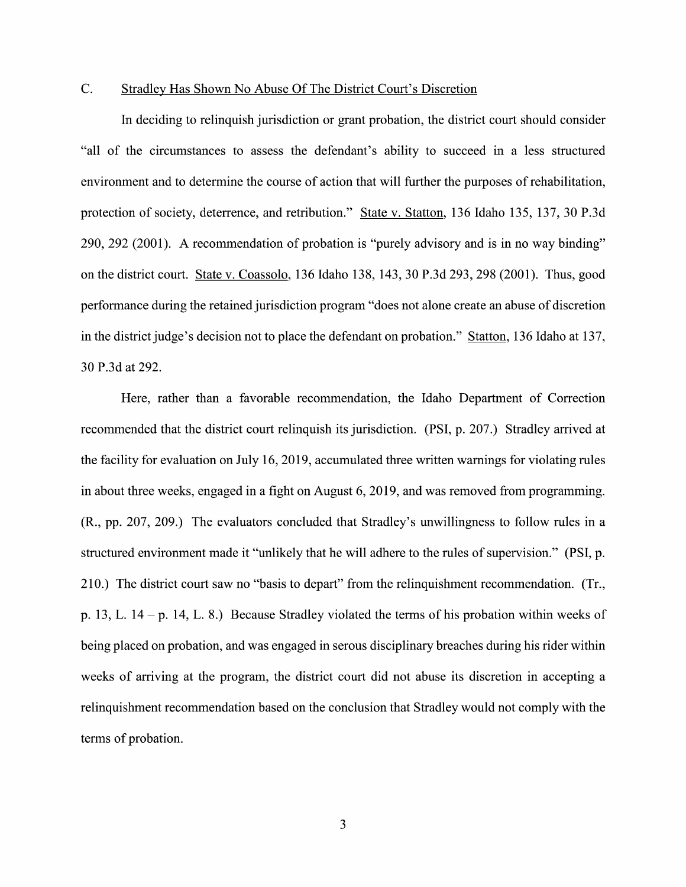### C. Stradlev Has Shown No Abuse Of The District Court's Discretion

In deciding to relinquish jurisdiction or grant probation, the district court should consider "all of the circumstances to assess the defendant's ability to succeed in a less structured environment and to determine the course of action that will further the purposes of rehabilitation, protection of society, deterrence, and retribution." State v. Statton, 136 Idaho 135, 137, 30 P.3d 290, 292 (2001). A recommendation of probation is "purely advisory and is in no way binding" 0n the district court. State V. Coassolo, 136 Idaho 138, 143, 30 P.3d 293, 298 (2001). Thus, good performance during the retained jurisdiction program "does not alone create an abuse of discretion in the district judge's decision not to place the defendant on probation." Statton,  $136$  Idaho at  $137$ , 30 P.3d at 292.

Here, rather than a favorable recommendation, the Idaho Department of Correction recommended that the district court relinquish its jurisdiction. (PSI, p. 207.) Stradley arrived at the facility for evaluation on July 16, 2019, accumulated three written warnings for violating rules in about three weeks, engaged in a fight on August 6, 2019, and was removed from programming.  $(R., pp. 207, 209.)$  The evaluators concluded that Stradley's unwillingness to follow rules in a structured environment made it "unlikely that he will adhere to the rules of supervision." (PSI, p. 210.) The district court saw no "basis to depart" from the relinquishment recommendation. (Tr., p. 13, L.  $14 - p$ . 14, L. 8.) Because Stradley violated the terms of his probation within weeks of being placed 0n probation, and was engaged in serous disciplinary breaches during his rider within weeks of arriving at the program, the district court did not abuse its discretion in accepting a relinquishment recommendation based 0n the conclusion that Stradley would not comply With the terms of probation.